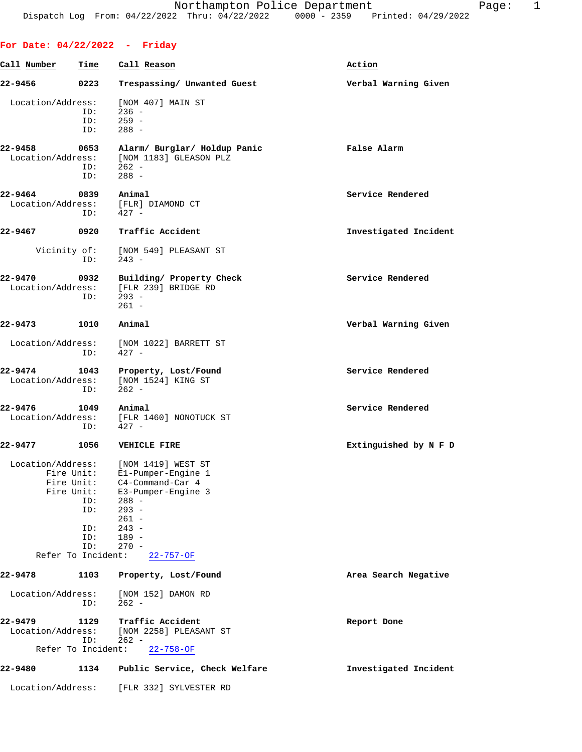## **For Date: 04/22/2022 - Friday**

| Call Number                                                         | Time                            | Call Reason                                                                                                                                                                        | Action                |
|---------------------------------------------------------------------|---------------------------------|------------------------------------------------------------------------------------------------------------------------------------------------------------------------------------|-----------------------|
| 22-9456                                                             | 0223                            | Trespassing/ Unwanted Guest                                                                                                                                                        | Verbal Warning Given  |
| Location/Address:                                                   | ID:<br>ID:<br>ID:               | [NOM 407] MAIN ST<br>$236 -$<br>$259 -$<br>$288 -$                                                                                                                                 |                       |
| 22-9458<br>Location/Address:                                        | 0653<br>ID:<br>ID:              | Alarm/ Burglar/ Holdup Panic<br>[NOM 1183] GLEASON PLZ<br>$262 -$<br>$288 -$                                                                                                       | False Alarm           |
| 22-9464<br>Location/Address:                                        | 0839<br>ID:                     | Animal<br>[FLR] DIAMOND CT<br>$427 -$                                                                                                                                              | Service Rendered      |
| 22-9467                                                             | 0920                            | Traffic Accident                                                                                                                                                                   | Investigated Incident |
| Vicinity of:                                                        | ID:                             | [NOM 549] PLEASANT ST<br>$243 -$                                                                                                                                                   |                       |
| 22-9470<br>Location/Address:                                        | 0932<br>ID:                     | Building/ Property Check<br>[FLR 239] BRIDGE RD<br>$293 -$<br>$261 -$                                                                                                              | Service Rendered      |
| 22-9473                                                             | 1010                            | Animal                                                                                                                                                                             | Verbal Warning Given  |
| Location/Address:                                                   | ID:                             | [NOM 1022] BARRETT ST<br>$427 -$                                                                                                                                                   |                       |
| 22-9474<br>Location/Address:                                        | 1043<br>ID:                     | Property, Lost/Found<br>[NOM 1524] KING ST<br>$262 -$                                                                                                                              | Service Rendered      |
| 22-9476<br>Location/Address:                                        | 1049<br>ID:                     | Animal<br>[FLR 1460] NONOTUCK ST<br>$427 -$                                                                                                                                        | Service Rendered      |
| 22-9477                                                             | 1056                            | <b>VEHICLE FIRE</b>                                                                                                                                                                | Extinguished by N F D |
| Location/Address:<br>Fire Unit:<br>Fire Unit:<br>Refer To Incident: | ID:<br>ID:<br>ID:<br>ID:<br>ID: | [NOM 1419] WEST ST<br>E1-Pumper-Engine 1<br>Fire Unit: C4-Command-Car 4<br>E3-Pumper-Engine 3<br>$288 -$<br>$293 -$<br>$261 -$<br>$243 -$<br>$189 -$<br>$270 -$<br>$22 - 757 - OF$ |                       |
| 22-9478                                                             | 1103                            | Property, Lost/Found                                                                                                                                                               | Area Search Negative  |
| Location/Address:                                                   | ID:                             | [NOM 152] DAMON RD<br>$262 -$                                                                                                                                                      |                       |
| 22-9479<br>Location/Address:<br>Refer To Incident:                  | 1129<br>ID:                     | Traffic Accident<br>[NOM 2258] PLEASANT ST<br>$262 -$<br>$22 - 758 - OF$                                                                                                           | Report Done           |
| 22-9480                                                             | 1134                            | Public Service, Check Welfare                                                                                                                                                      | Investigated Incident |
| Location/Address:                                                   |                                 | [FLR 332] SYLVESTER RD                                                                                                                                                             |                       |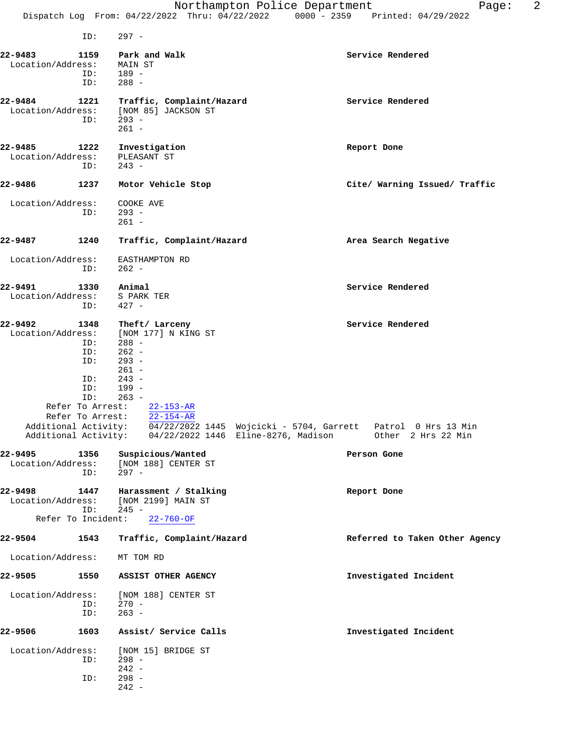ID: 297 - **22-9483 1159 Park and Walk Service Rendered** Location/Address:<br>ID: ess: MAIN ST<br>ID: 189 -<br>ID: 288 -288 -**22-9484 1221 Traffic, Complaint/Hazard Service Rendered** Service Rendered Location/Address: [NOM 85] JACKSON ST ess: [NOM 85] JACKSON ST<br>ID: 293 - ID: 293 - 261 - **22-9485 1222 Investigation Report Done** Location/Address: PLEASANT ST<br>ID: 243 - ID: 243 - **22-9486 1237 Motor Vehicle Stop Cite/ Warning Issued/ Traffic** Location/Address: COOKE AVE<br>ID: 293 - ID: 293 -  $261 -$ **22-9487 1240 Traffic, Complaint/Hazard Area Search Negative** Location/Address: EASTHAMPTON RD ID: 262 - **22-9491** 1330 Animal 10 22-9491 Service Rendered Location/Address: S PARK TER<br>ID: 427 - ID: 427 - **22-9492 1348 Theft/ Larceny Service Rendered** Location/Address: [NOM 177] N KING ST ID: 288 -<br>ID: 262 - $262 -$  ID: 293 -  $261 -$ <br> $243 243 -$  ID: 199 - ID: 263 - Refer To Arrest: 22-153-AR Refer To Arrest: 22-154-AR Additional Activity: 04/22/2022 1445 Wojcicki - 5704, Garrett Patrol 0 Hrs 13 Min Additional Activity: 04/22/2022 1446 Eline-8276, Madison Other 2 Hrs 22 Min **22-9495 1356 Suspicious/Wanted Person Gone** Location/Address: [NOM 188] CENTER ST ID: 297 - **22-9498 1447 Harassment / Stalking Report Done** Location/Address: [NOM 2199] MAIN ST ID: 245 - Refer To Incident: 22-760-OF **22-9504 1543 Traffic, Complaint/Hazard Referred to Taken Other Agency** Location/Address: MT TOM RD **22-9505 1550 ASSIST OTHER AGENCY Investigated Incident** Location/Address: [NOM 188] CENTER ST<br>ID: 270 - $270 -$  ID: 263 - **22-9506 1603 Assist/ Service Calls Investigated Incident** Location/Address: [NOM 15] BRIDGE ST ID: 298 -

> $7D: 242 -$ 298 -242 -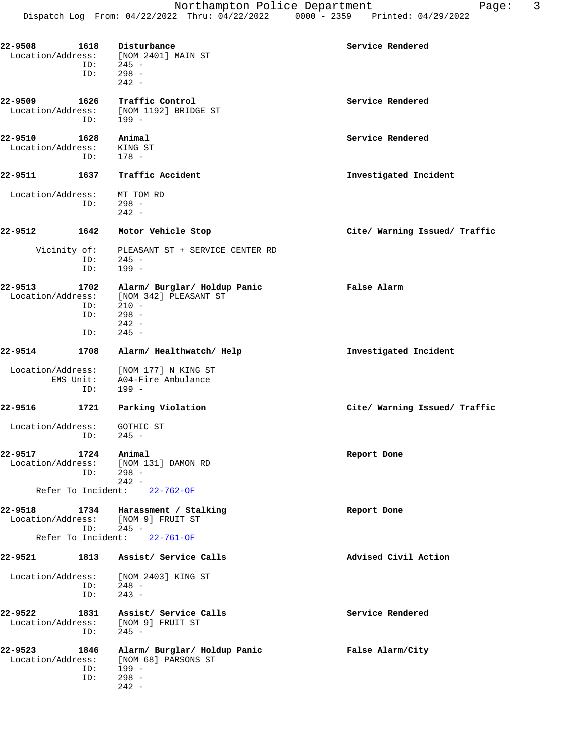| 22-9508                      | 1618<br>ID:        | Disturbance<br>Location/Address: [NOM 2401] MAIN ST<br>$ID: 245 -$<br>$298 -$<br>$242 -$ | Service Rendered              |
|------------------------------|--------------------|------------------------------------------------------------------------------------------|-------------------------------|
| 22-9509<br>Location/Address: | 1626<br>ID:        | Traffic Control<br>[NOM 1192] BRIDGE ST<br>199 -                                         | Service Rendered              |
| 22-9510<br>Location/Address: | 1628<br>ID:        | Animal<br>KING ST<br>$178 -$                                                             | Service Rendered              |
| 22-9511                      | 1637               | Traffic Accident                                                                         | Investigated Incident         |
| Location/Address:            |                    | MT TOM RD<br>ID: 298 -<br>$242 -$                                                        |                               |
| 22-9512                      | 1642               | Motor Vehicle Stop                                                                       | Cite/ Warning Issued/ Traffic |
| Vicinity of:                 | ID:<br>ID:         | PLEASANT ST + SERVICE CENTER RD<br>$245 -$<br>199 -                                      |                               |
| 22-9513<br>Location/Address: | 1702<br>ID:<br>ID: | Alarm/ Burglar/ Holdup Panic<br>[NOM 342] PLEASANT ST<br>210 -<br>$298 -$<br>$242 -$     | False Alarm                   |
|                              | ID:                | $245 -$                                                                                  |                               |
| 22-9514                      | 1708               | Alarm/ Healthwatch/ Help                                                                 | Investigated Incident         |
|                              | ID:                | Location/Address: [NOM 177] N KING ST<br>EMS Unit: A04-Fire Ambulance<br>199 -           |                               |
| 22-9516                      | 1721               | Parking Violation                                                                        | Cite/ Warning Issued/ Traffic |
| Location/Address:            | ID:                | GOTHIC ST<br>$245 -$                                                                     |                               |
| 22-9517                      | 1724<br>ID:        | Animal<br>Location/Address: [NOM 131] DAMON RD<br>$298 -$<br>$242 -$                     | Report Done                   |
|                              |                    | Refer To Incident: 22-762-OF                                                             |                               |
| 22-9518                      |                    | 1734 Harassment / Stalking<br>Location/Address: [NOM 9] FRUIT ST<br>$ID: 245 -$          | Report Done                   |
|                              |                    | Refer To Incident: 22-761-OF                                                             |                               |
| 22-9521                      |                    | 1813 Assist/ Service Calls                                                               | Advised Civil Action          |
| Location/Address:            | ID:<br>ID:         | [NOM 2403] KING ST<br>248 -<br>$243 -$                                                   |                               |
| 22-9522                      | 1831<br>ID:        | Assist/ Service Calls<br>Location/Address: [NOM 9] FRUIT ST<br>245 -                     | Service Rendered              |
| 22-9523<br>Location/Address: | 1846<br>ID:<br>ID: | Alarm/ Burglar/ Holdup Panic<br>[NOM 68] PARSONS ST<br>199 -<br>$298 -$<br>$242 -$       | False Alarm/City              |